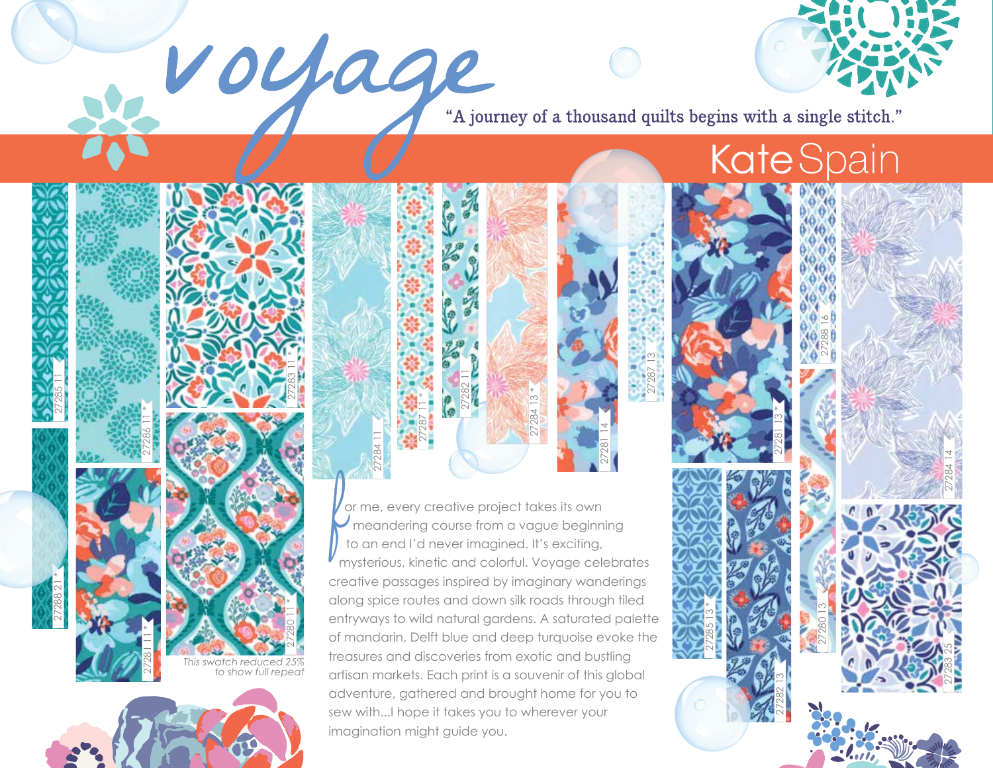Voyage "A journey of a thousand quilts begins with a single stitch."

27287 13

27281 14

## **Kate** Spain

27288 16

27282 13  $\sim$  A  $\sim$  27281 13 \*

27280 13

27285 13 \*

or me, every creative project takes its own meandering course from a vague beginning to an end I'd never imagined. It's exciting, mysterious, kinetic and colorful. Voyage celebrates creative passages inspired by imaginary wanderings along spice routes and down silk roads through tiled entryways to wild natural gardens. A saturated palette of mandarin, Delft blue and deep turquoise evoke the treasures and discoveries from exotic and bustling artisan markets. Each print is a souvenir of this global adventure, gathered and brought home for you to sew with...I hope it takes you to wherever your imagination might guide you.

27282 11

27284 13 \*

27287 11 \*

27284 11



27285 11

*This swatch reduced 25%*  27281 11 \* **to show full repeat 27383** 

27286 11 \*

27280 11 \*